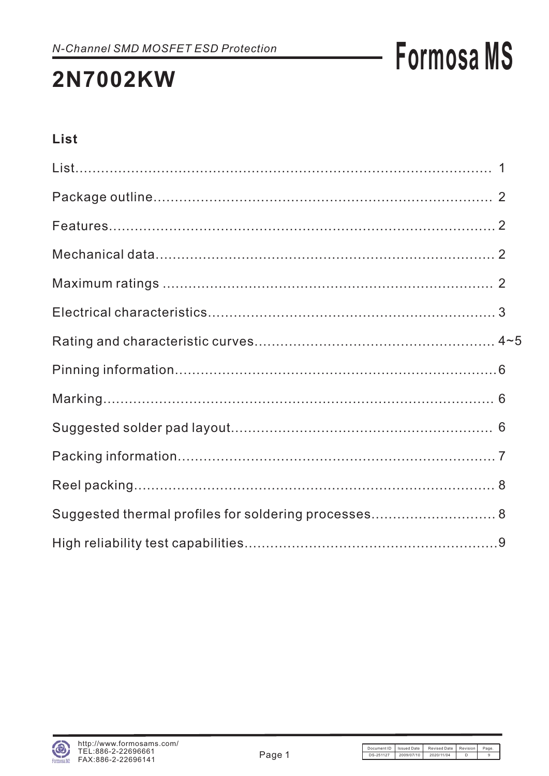## **2N7002KW**

## **List**

| Suggested thermal profiles for soldering processes 8 |  |
|------------------------------------------------------|--|
|                                                      |  |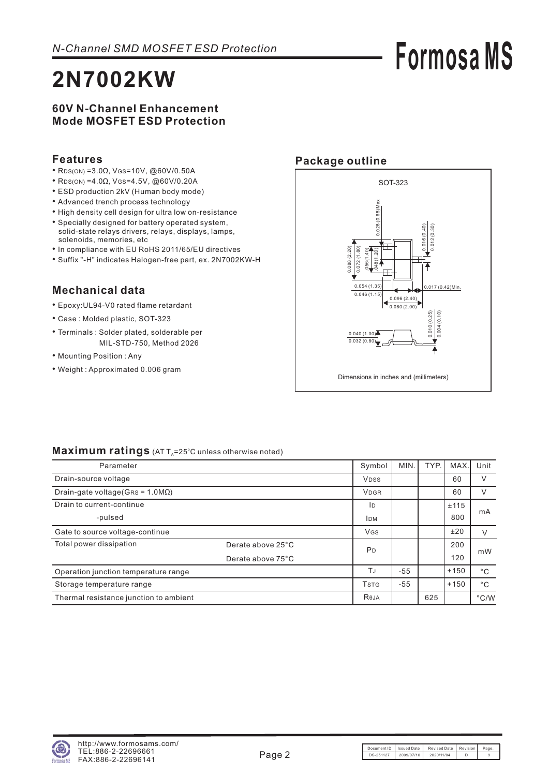## **2N7002KW**

# **Formosa MS**

### **60V N-Channel Enhancement Mode MOSFET ESD Protection**

### **Features**

- RDS(ON) = 3.0Ω, VGS = 10V, @60V/0.50A
- RDS(ON) = 4.0Ω, VGS = 4.5V, @60V/0.20A
- ESD production 2kV (Human body mode)
- Advanced trench process technology
- High density cell design for ultra low on-resistance
- Specially designed for battery operated system, solid-state relays drivers, relays, displays, lamps, solenoids, memories, etc
- In compliance with EU RoHS 2011/65/EU directives
- Suffix "-H" indicates Halogen-free part, ex. 2N7002ΚW-H

## **Mechanical data**

- Epoxy:UL94-V0 rated flame retardant
- Case : Molded plastic, SOT-323
- Terminals : Solder plated, solderable per MIL-STD-750, Method 2026
- Mounting Position : Any
- Weight : Approximated 0.006 gram

## **Package outline**



### Maximum ratings (AT T<sub>A</sub>=25°C unless otherwise noted)

| Parameter                               |                   | Symbol                               | MIN.  | TYP. | <b>MAX</b> | Unit          |
|-----------------------------------------|-------------------|--------------------------------------|-------|------|------------|---------------|
| Drain-source voltage                    |                   | <b>VDSS</b>                          |       |      | 60         | V             |
| Drain-gate voltage(GRS = $1.0M\Omega$ ) |                   | <b>VDGR</b>                          |       |      | 60         | V             |
| Drain to current-continue               |                   | ID                                   |       |      | ±115       | mA            |
| -pulsed                                 |                   | <b>IDM</b>                           |       |      | 800        |               |
| Gate to source voltage-continue         |                   | <b>VGS</b>                           |       |      | ±20        | V             |
| Total power dissipation                 | Derate above 25°C | P <sub>D</sub>                       |       |      | 200        | mW            |
|                                         | Derate above 75°C |                                      |       |      | 120        |               |
| Operation junction temperature range    |                   | TJ                                   | $-55$ |      | $+150$     | $^{\circ}$ C  |
| Storage temperature range               |                   | <b>T</b> <sub>S</sub> T <sub>G</sub> | $-55$ |      | $+150$     | $^{\circ}$ C  |
| Thermal resistance junction to ambient  |                   | Reja                                 |       | 625  |            | $\degree$ C/W |

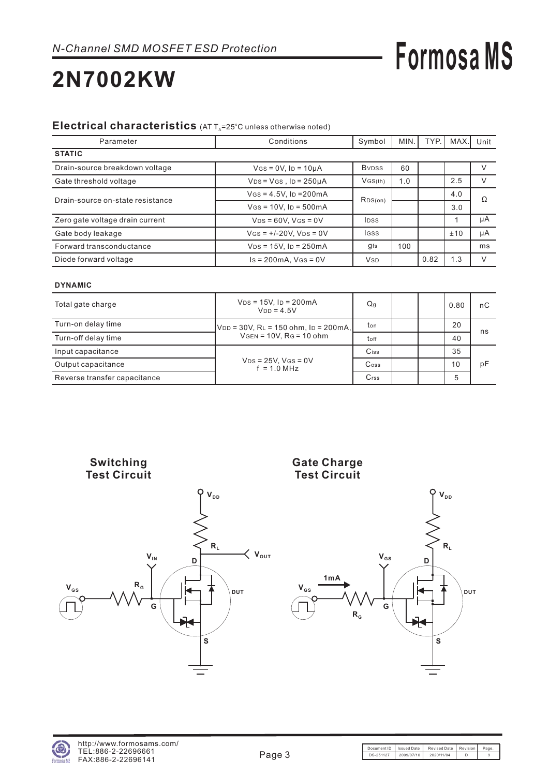## **2N7002KW**

### Electrical characteristics (AT T<sub>A</sub>=25°C unless otherwise noted)

| Parameter                        | Conditions                            |                           | MIN. | TYP. | MAX. | Unit   |
|----------------------------------|---------------------------------------|---------------------------|------|------|------|--------|
| <b>STATIC</b>                    |                                       |                           |      |      |      |        |
| Drain-source breakdown voltage   | $V$ GS = 0V, Ip = 10µA                | <b>B</b> <sub>v</sub> pss | 60   |      |      |        |
| Gate threshold voltage           | $VDS = VGS$ , $ID = 250\mu A$         | VGS(th)                   | 1.0  |      | 2.5  | V      |
| Drain-source on-state resistance | $V$ GS = 4.5V, ID = 200 mA            | RDS(on)                   |      |      | 4.0  | Ω      |
|                                  | $V$ GS = 10V, Ip = 500mA              |                           |      |      | 3.0  |        |
| Zero gate voltage drain current  | $VDS = 60V$ , $VGS = 0V$              | <b>IDSS</b>               |      |      |      | μA     |
| Gate body leakage                | $V$ GS = +/-20V, V <sub>DS</sub> = 0V | <b>IGSS</b>               |      |      | ±10  | μA     |
| Forward transconductance         | $V_{DS} = 15V$ , $I_D = 250mA$        | gfs                       | 100  |      |      | ms     |
| Diode forward voltage            | $Is = 200mA$ , $Vgs = 0V$             | <b>V<sub>SD</sub></b>     |      | 0.82 | 1.3  | $\vee$ |

### **DYNAMIC**

| Total gate charge            | $V_{DS} = 15V$ , $I_D = 200mA$<br>$VDD = 4.5V$ | Q <sub>g</sub>              |  | 0.80 | nС |
|------------------------------|------------------------------------------------|-----------------------------|--|------|----|
| Turn-on delay time           | $ V_{DD}$ = 30V, RL = 150 ohm, ID = 200mA,     | ton                         |  | 20   | ns |
| Turn-off delay time          | $VGEN = 10V$ . $RG = 10$ ohm                   | toff                        |  | 40   |    |
| Input capacitance            |                                                | Ciss                        |  | 35   |    |
| Output capacitance           | $VDS = 25V$ , $VGS = 0V$<br>$f = 1.0$ MHz      | $\mathsf{C}$ <sub>oss</sub> |  | 10   | рF |
| Reverse transfer capacitance |                                                | Crss                        |  | 5    |    |

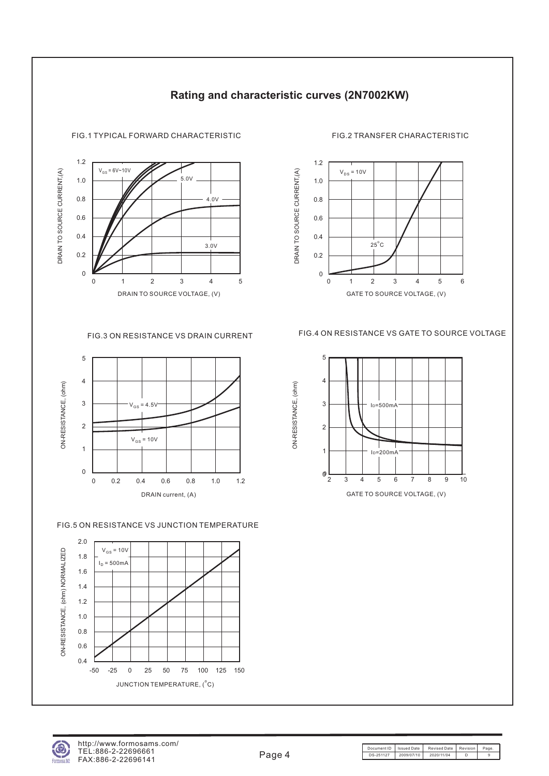

## **Rating and characteristic curves (2N7002KW)**

FIG.1 TYPICAL FORWARD CHARACTERISTIC FIG.2 TRANSFER CHARACTERISTIC





### FIG.5 ON RESISTANCE VS JUNCTION TEMPERATURE



FIG.3 ON RESISTANCE VS DRAIN CURRENT FIG.4 ON RESISTANCE VS GATE TO SOURCE VOLTAGE

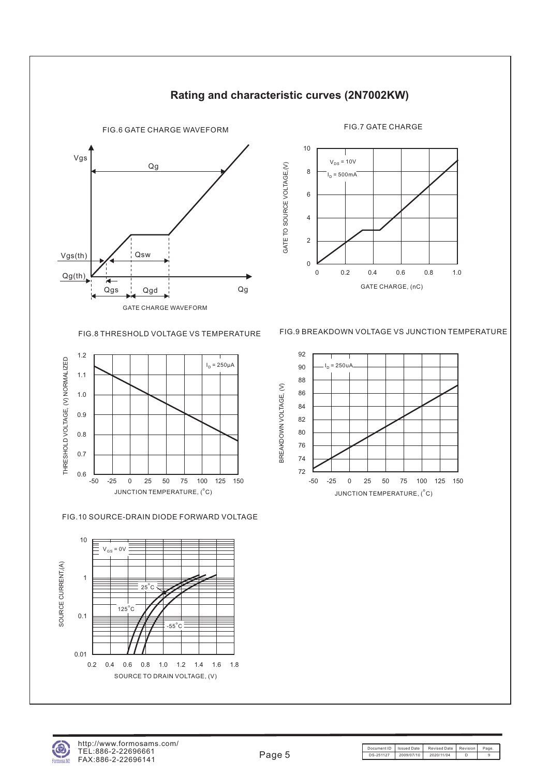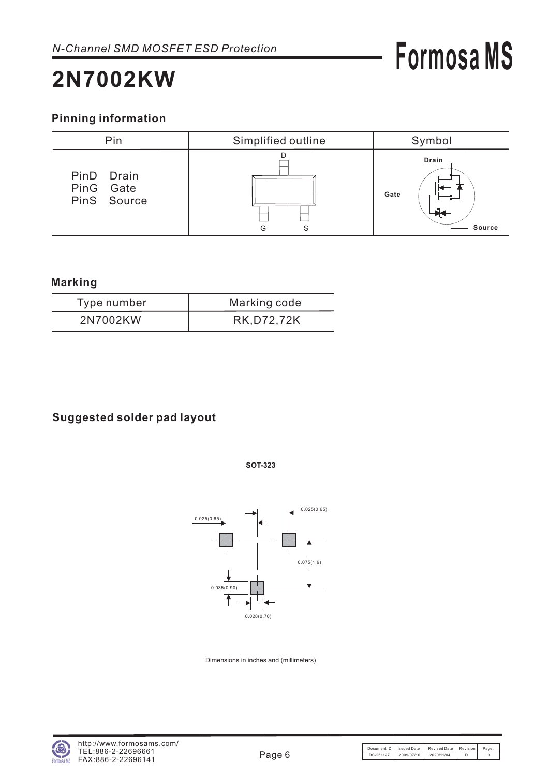## **2N7002KW**

## **Pinning information**



### **Marking**

| Type number | Marking code |
|-------------|--------------|
| 2N7002KW    | RK, D72, 72K |

## **Suggested solder pad layout**

**SOT-323**



Dimensions in inches and (millimeters)

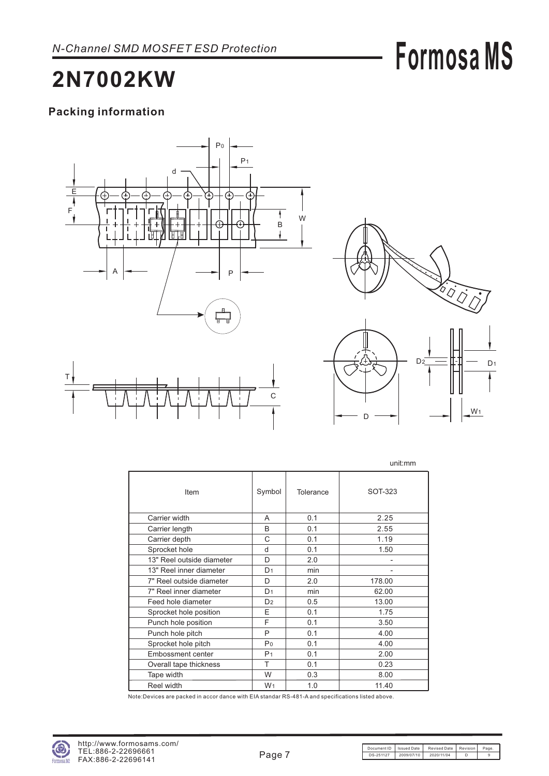## **2N7002KW**

## **Packing information**





D

|                           |                |           | unit:mm |
|---------------------------|----------------|-----------|---------|
| Item                      | Symbol         | Tolerance | SOT-323 |
| Carrier width             | A              | 0.1       | 2.25    |
| Carrier length            | <sub>B</sub>   | 0.1       | 2.55    |
| Carrier depth             | C              | 0.1       | 1.19    |
| Sprocket hole             | d              | 0.1       | 1.50    |
| 13" Reel outside diameter | D              | 2.0       |         |
| 13" Reel inner diameter   | D <sub>1</sub> | min       |         |
| 7" Reel outside diameter  | D              | 2.0       | 178.00  |
| 7" Reel inner diameter    | D <sub>1</sub> | min       | 62.00   |
| Feed hole diameter        | D <sub>2</sub> | 0.5       | 13.00   |
| Sprocket hole position    | E              | 0.1       | 1.75    |
| Punch hole position       | F              | 0.1       | 3.50    |
| Punch hole pitch          | P              | 0.1       | 4.00    |
| Sprocket hole pitch       | P <sub>0</sub> | 0.1       | 4.00    |
| <b>Embossment center</b>  | P <sub>1</sub> | 0.1       | 2.00    |
| Overall tape thickness    | T              | 0.1       | 0.23    |
| Tape width                | W              | 0.3       | 8.00    |
| Reel width                | W <sub>1</sub> | 1.0       | 11.40   |

Note:Devices are packed in accor dance with EIA standar RS-481-A and specifications listed above.

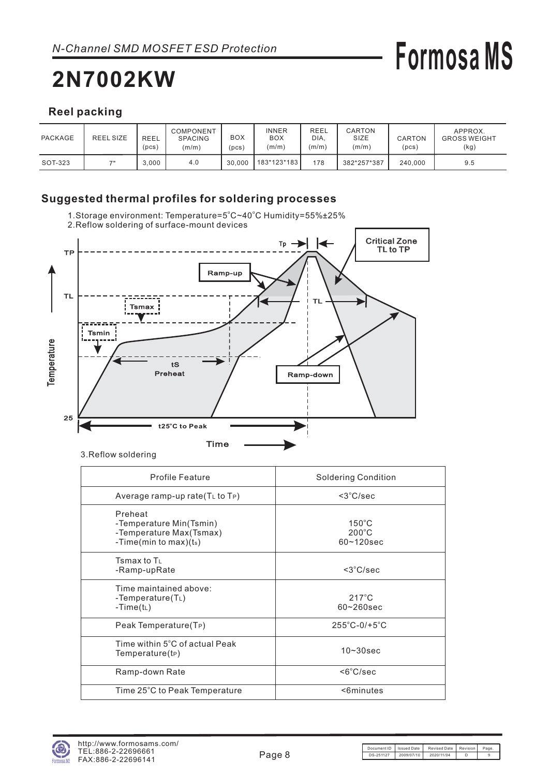## **2N7002KW**

# **Formosa MS**

## **Reel packing**

| PACKAGE | <b>REEL SIZE</b> | <b>REEL</b><br>(pcs) | COMPONENT<br><b>SPACING</b><br>(m/m) | BOX<br>pcs) | <b>INNER</b><br><b>BOX</b><br>(m/m) | REEL<br>DIA.<br>(m/m) | CARTON<br>SIZE<br>(m/m) | CARTON<br>(pcs) | APPROX.<br><b>GROSS WEIGHT</b><br>(kg) |
|---------|------------------|----------------------|--------------------------------------|-------------|-------------------------------------|-----------------------|-------------------------|-----------------|----------------------------------------|
| SOT-323 | 71               | 3.000                | 4.0                                  | 30.000      | 183*123*183                         | 178                   | 382*257*387             | 240.000         | 9.5                                    |

## **Suggested thermal profiles for soldering processes**

1.Storage environment: Temperature=5°C~40°C Humidity=55%±25% 2.Reflow soldering of surface-mount devices



3.Reflow soldering

| Profile Feature                                                                             | <b>Soldering Condition</b>                           |
|---------------------------------------------------------------------------------------------|------------------------------------------------------|
| Average ramp-up rate(T∟ to TP)                                                              | $<$ 3 $^{\circ}$ C/sec                               |
| Preheat<br>-Temperature Min(Tsmin)<br>-Temperature Max(Tsmax)<br>-Time(min to max)( $t_s$ ) | $150^{\circ}$ C<br>$200^{\circ}$ C<br>$60 - 120$ sec |
| Tsmax to $T_1$<br>-Ramp-upRate                                                              | $<$ 3 $°C/sec$                                       |
| Time maintained above:<br>-Temperature $(T_L)$<br>-Time( $t_L$ )                            | $217^{\circ}$ C<br>$60 - 260$ sec                    |
| Peak Temperature(T <sub>P</sub> )                                                           | $255^{\circ}$ C-0/+5 $^{\circ}$ C                    |
| Time within 5°C of actual Peak<br>Temperature(tP)                                           | $10 - 30$ sec                                        |
| Ramp-down Rate                                                                              | <6°C/sec                                             |
| Time 25°C to Peak Temperature                                                               | <6minutes                                            |
|                                                                                             |                                                      |